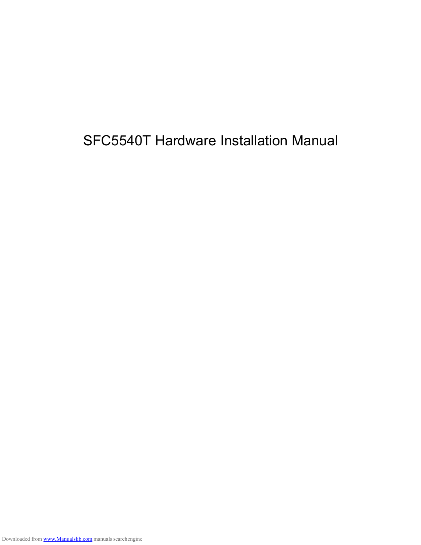SFC5540T Hardware Installation Manual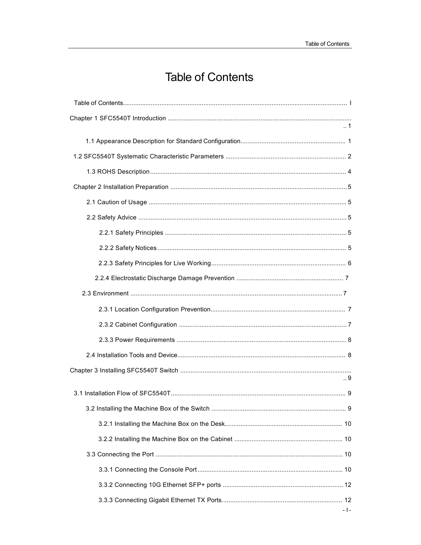# **Table of Contents**

| $\mathbf{-1}$ |
|---------------|
|               |
|               |
|               |
|               |
|               |
|               |
|               |
|               |
|               |
|               |
|               |
|               |
|               |
|               |
|               |
| 9             |
|               |
|               |
|               |
|               |
|               |
|               |
|               |
|               |
|               |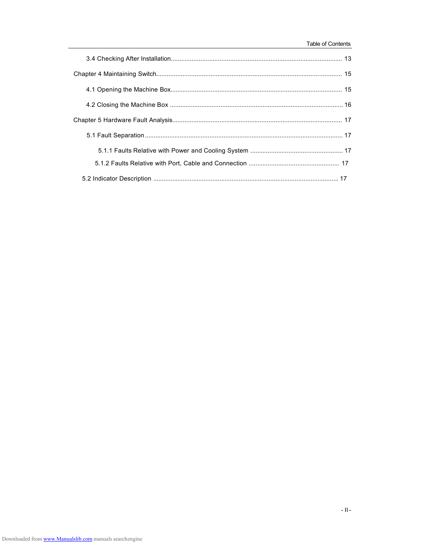#### Table of Contents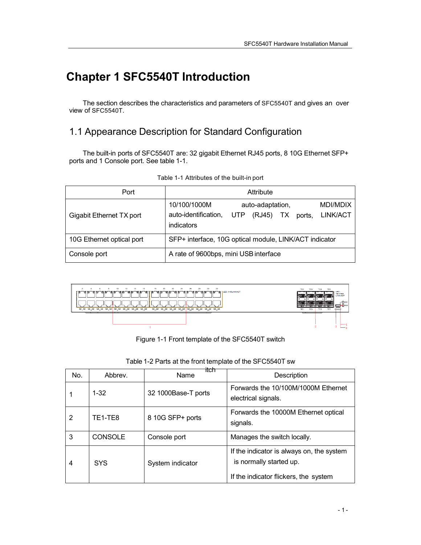# **Chapter 1 SFC5540T Introduction**

The section describes the characteristics and parameters of SFC5540T and gives an over view of SFC5540T.

# 1.1 Appearance Description for Standard Configuration

The built-in ports of SFC5540T are: 32 gigabit Ethernet RJ45 ports, 8 10G Ethernet SFP+ ports and 1 Console port. See table 1-1.

| Port                      | Attribute                                                                                                                     |  |  |  |
|---------------------------|-------------------------------------------------------------------------------------------------------------------------------|--|--|--|
| Gigabit Ethernet TX port  | <b>MDI/MDIX</b><br>10/100/1000M<br>auto-adaptation,<br>auto-identification,<br>(RJ45) TX ports, LINK/ACT<br>UTP<br>indicators |  |  |  |
| 10G Ethernet optical port | SFP+ interface, 10G optical module, LINK/ACT indicator                                                                        |  |  |  |
| Console port              | A rate of 9600bps, mini USB interface                                                                                         |  |  |  |

|  | Table 1-1 Attributes of the built-in port |  |  |  |
|--|-------------------------------------------|--|--|--|
|--|-------------------------------------------|--|--|--|



Figure 1-1 Front template of the SFC5540T switch

| No. | Abbrey.                          | itch<br>Name        | Description                                                                                                   |
|-----|----------------------------------|---------------------|---------------------------------------------------------------------------------------------------------------|
|     | $1 - 32$                         | 32 1000Base-T ports | Forwards the 10/100M/1000M Ethernet<br>electrical signals.                                                    |
| 2   | TE <sub>1</sub> -TE <sub>8</sub> | 8 10G SFP+ ports    | Forwards the 10000M Ethernet optical<br>signals.                                                              |
| 3   | <b>CONSOLE</b>                   | Console port        | Manages the switch locally.                                                                                   |
| 4   | <b>SYS</b>                       | System indicator    | If the indicator is always on, the system<br>is normally started up.<br>If the indicator flickers, the system |

Table 1-2 Parts at the front template of the SFC5540T sw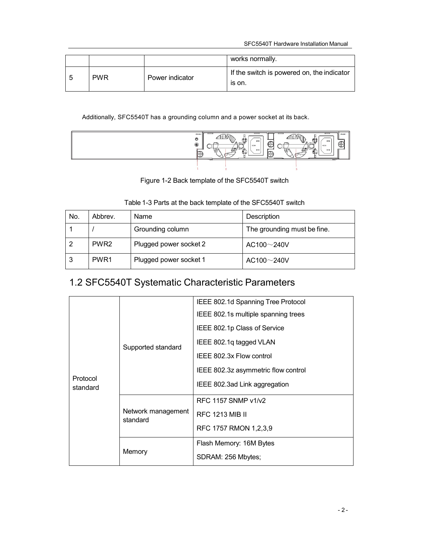|        |            |                 | works normally.                                      |
|--------|------------|-----------------|------------------------------------------------------|
| .<br>C | <b>PWR</b> | Power indicator | If the switch is powered on, the indicator<br>is on. |

## Additionally, SFC5540T has a grounding column and a power socket at its back.



Figure 1-2 Back template of the SFC5540T switch

| Table 1-3 Parts at the back template of the SFC5540T switch |  |  |
|-------------------------------------------------------------|--|--|

| No. | Abbrev.          | Name                   | Description                 |
|-----|------------------|------------------------|-----------------------------|
|     |                  | Grounding column       | The grounding must be fine. |
|     | PWR <sub>2</sub> | Plugged power socket 2 | $AC100\sim 240V$            |
| 3   | PWR1             | Plugged power socket 1 | $AC100\sim 240V$            |

# 1.2 SFC5540T Systematic Characteristic Parameters

|                      |                                | IEEE 802.1d Spanning Tree Protocol  |
|----------------------|--------------------------------|-------------------------------------|
|                      |                                | IEEE 802.1s multiple spanning trees |
|                      |                                | IEEE 802.1p Class of Service        |
|                      | Supported standard             | IEEE 802.1q tagged VLAN             |
|                      |                                | IEEE 802.3x Flow control            |
|                      |                                | IEEE 802.3z asymmetric flow control |
| Protocol<br>standard |                                | IEEE 802.3ad Link aggregation       |
|                      | Network management<br>standard | RFC 1157 SNMP v1/v2                 |
|                      |                                | <b>RFC 1213 MIB II</b>              |
|                      |                                | RFC 1757 RMON 1,2,3,9               |
|                      | Memory                         | Flash Memory: 16M Bytes             |
|                      |                                | SDRAM: 256 Mbytes;                  |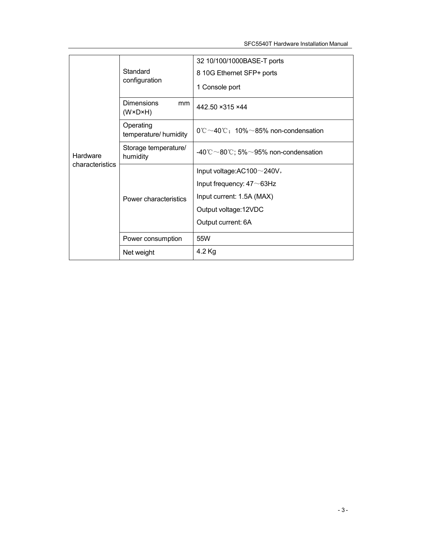|                 |                                                    | 32 10/100/1000BASE-T ports                                |
|-----------------|----------------------------------------------------|-----------------------------------------------------------|
|                 | Standard                                           | 8 10G Ethernet SFP+ ports                                 |
|                 | configuration                                      | 1 Console port                                            |
|                 | <b>Dimensions</b><br>mm<br>$(W \times D \times H)$ | 442.50 ×315 ×44                                           |
|                 | Operating<br>temperature/ humidity                 | $0^{\circ}$ C ~40 $^{\circ}$ C: 10% ~85% non-condensation |
| Hardware        | Storage temperature/<br>humidity                   | -40°C ~80°C; 5% ~95% non-condensation                     |
| characteristics |                                                    | Input voltage: AC100~240V,                                |
|                 |                                                    | Input frequency: $47 \sim 63$ Hz                          |
|                 | Power characteristics                              | Input current: 1.5A (MAX)                                 |
|                 |                                                    | Output voltage: 12VDC                                     |
|                 |                                                    | Output current: 6A                                        |
|                 | Power consumption                                  | 55W                                                       |
|                 | Net weight                                         | 4.2 Kg                                                    |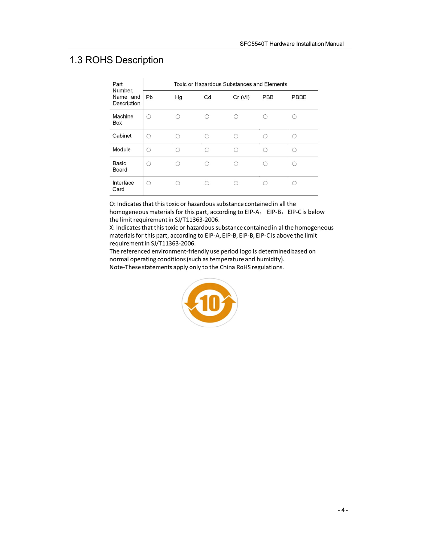# 1.3 ROHS Description

| Part<br>Number,<br>Name and<br>Description | Toxic or Hazardous Substances and Elements |    |           |         |            |      |
|--------------------------------------------|--------------------------------------------|----|-----------|---------|------------|------|
|                                            | Pb                                         | Hg | Cd        | Cr (VI) | <b>PBB</b> | PBDE |
| Machine<br>Box                             | ∩                                          |    |           |         |            |      |
| Cabinet                                    | ∩                                          |    | ∩         | ∩       |            |      |
| Module                                     | ∩                                          |    | $\bigcap$ | $\cap$  |            |      |
| <b>Basic</b><br>Board                      | ( )                                        |    | ⊂         |         |            |      |
| Interface<br>Card                          | ∩                                          |    | ⊂         |         |            |      |

O: Indicates that this toxic or hazardous substance contained in all the

homogeneous materials for this part, according to EIP-A, EIP-B, EIP-C is below the limit requirement in SJ/T11363-2006.

X: Indicates that this toxic or hazardous substance contained in al the homogeneous materials for this part, according to EIP-A, EIP-B, EIP-B, EIP-C is above the limit requirement in SJ/T11363-2006.

The referenced environment-friendly use period logo is determined based on normal operating conditions (such as temperature and humidity). Note-These statements apply only to the China RoHS regulations.

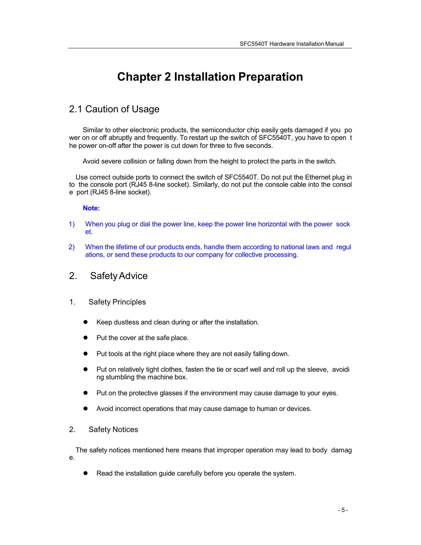# **Chapter 2 Installation Preparation**

# 2.1 Caution of Usage

Similar to other electronic products, the semiconductor chip easily gets damaged if you po wer on or off abruptly and frequently. To restart up the switch of SFC5540T, you have to open t he power on-off after the power is cut down for three to five seconds.

Avoid severe collision or falling down from the height to protect the parts in the switch.

Use correct outside ports to connect the switch of SFC5540T. Do not put the Ethernet plug in to the console port (RJ45 8-line socket). Similarly, do not put the console cable into the consol e port (RJ45 8-line socket).

### **Note:**

- 1) When you plug or dial the power line, keep the power line horizontal with the power sock et.
- 2) When the lifetime of our products ends, handle them according to national laws and regul ations, or send these products to our company for collective processing.

## 2. SafetyAdvice

- 1. Safety Principles
	- Keep dustless and clean during or after the installation.
	- Put the cover at the safe place.
	- Put tools at the right place where they are not easily falling down.
	- Put on relatively tight clothes, fasten the tie or scarf well and roll up the sleeve, avoidi ng stumbling the machine box.
	- Put on the protective glasses if the environment may cause damage to your eyes.
	- Avoid incorrect operations that may cause damage to human or devices.

### 2. Safety Notices

The safety notices mentioned here means that improper operation may lead to body damag e.

Read the installation guide carefully before you operate the system.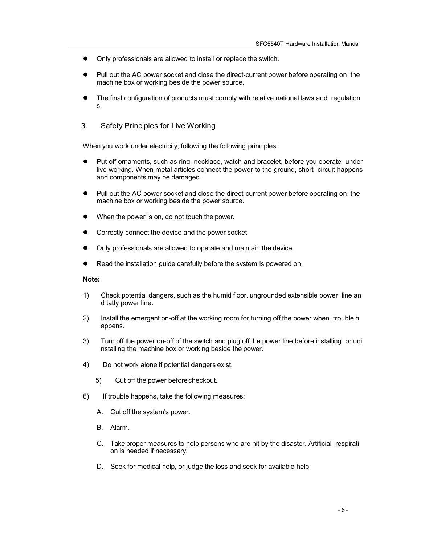- Only professionals are allowed to install or replace the switch.
- Pull out the AC power socket and close the direct-current power before operating on the machine box or working beside the power source.
- The final configuration of products must comply with relative national laws and regulation s.
- 3. Safety Principles for Live Working

When you work under electricity, following the following principles:

- Put off ornaments, such as ring, necklace, watch and bracelet, before you operate under live working. When metal articles connect the power to the ground, short circuit happens and components may be damaged.
- Pull out the AC power socket and close the direct-current power before operating on the machine box or working beside the power source.
- When the power is on, do not touch the power.
- Correctly connect the device and the power socket.
- Only professionals are allowed to operate and maintain the device.
- Read the installation guide carefully before the system is powered on.

#### **Note:**

- 1) Check potential dangers, such as the humid floor, ungrounded extensible power line an d tatty power line.
- 2) Install the emergent on-off at the working room for turning off the power when trouble h appens.
- 3) Turn off the power on-off of the switch and plug off the power line before installing or uni nstalling the machine box or working beside the power.
- 4) Do not work alone if potential dangers exist.
	- 5) Cut off the power before checkout.
- 6) If trouble happens, take the following measures:
	- A. Cut off the system's power.
	- B. Alarm.
	- C. Take proper measures to help persons who are hit by the disaster. Artificial respirati on is needed if necessary.
	- D. Seek for medical help, or judge the loss and seek for available help.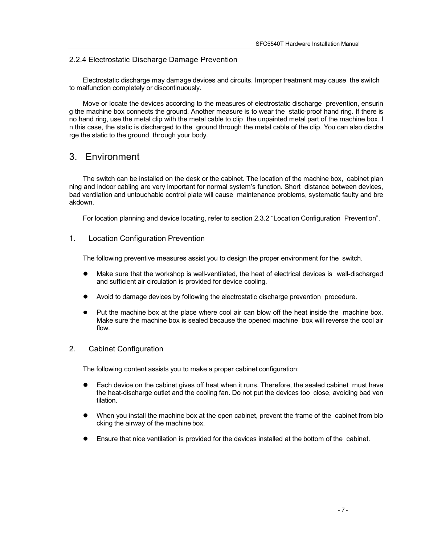### 2.2.4 Electrostatic Discharge Damage Prevention

Electrostatic discharge may damage devices and circuits. Improper treatment may cause the switch to malfunction completely or discontinuously.

Move or locate the devices according to the measures of electrostatic discharge prevention, ensurin g the machine box connects the ground. Another measure is to wear the static-proof hand ring. If there is no hand ring, use the metal clip with the metal cable to clip the unpainted metal part of the machine box. I n this case, the static is discharged to the ground through the metal cable of the clip. You can also discha rge the static to the ground through your body.

# 3. Environment

The switch can be installed on the desk or the cabinet. The location of the machine box, cabinet plan ning and indoor cabling are very important for normal system's function. Short distance between devices, bad ventilation and untouchable control plate will cause maintenance problems, systematic faulty and bre akdown.

For location planning and device locating, refer to section 2.3.2 "Location Configuration Prevention".

### 1. Location Configuration Prevention

The following preventive measures assist you to design the proper environment for the switch.

- Make sure that the workshop is well-ventilated, the heat of electrical devices is well-discharged and sufficient air circulation is provided for device cooling.
- Avoid to damage devices by following the electrostatic discharge prevention procedure.
- Put the machine box at the place where cool air can blow off the heat inside the machine box. Make sure the machine box is sealed because the opened machine box will reverse the cool air flow.

## 2. Cabinet Configuration

The following content assists you to make a proper cabinet configuration:

- Each device on the cabinet gives off heat when it runs. Therefore, the sealed cabinet must have the heat-discharge outlet and the cooling fan. Do not put the devices too close, avoiding bad ven tilation.
- When you install the machine box at the open cabinet, prevent the frame of the cabinet from blo cking the airway of the machine box.
- Ensure that nice ventilation is provided for the devices installed at the bottom of the cabinet.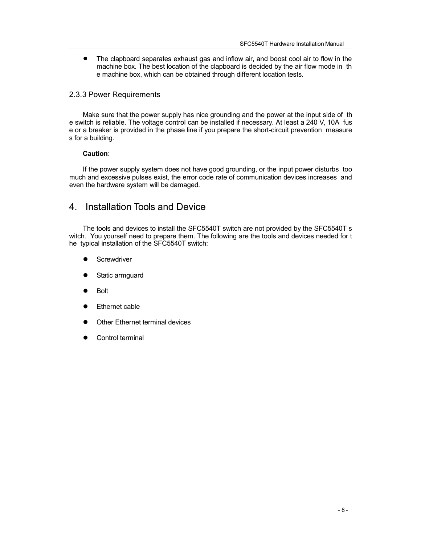$\bullet$ The clapboard separates exhaust gas and inflow air, and boost cool air to flow in the machine box. The best location of the clapboard is decided by the air flow mode in th e machine box, which can be obtained through different location tests.

## 2.3.3 Power Requirements

Make sure that the power supply has nice grounding and the power at the input side of th e switch is reliable. The voltage control can be installed if necessary. At least a 240 V, 10A fus e or a breaker is provided in the phase line if you prepare the short-circuit prevention measure s for a building.

### **Caution**:

If the power supply system does not have good grounding, or the input power disturbs too much and excessive pulses exist, the error code rate of communication devices increases and even the hardware system will be damaged.

# 4. Installation Tools and Device

The tools and devices to install the SFC5540T switch are not provided by the SFC5540T s witch. You yourself need to prepare them. The following are the tools and devices needed for t he typical installation of the SFC5540T switch:

- **Screwdriver**
- Static armguard
- Bolt
- Ethernet cable
- Other Ethernet terminal devices
- Control terminal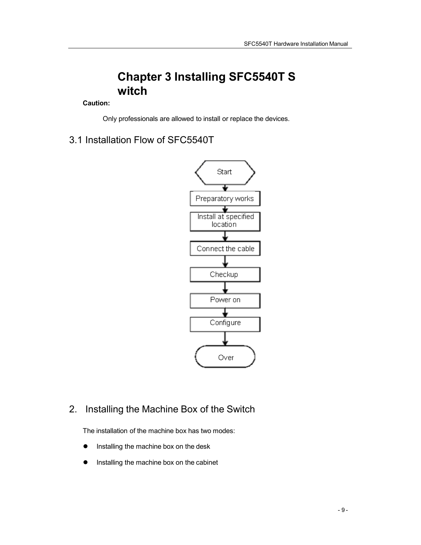# **Chapter 3 Installing SFC5540T S witch**

## **Caution:**

Only professionals are allowed to install or replace the devices.

3.1 Installation Flow of SFC5540T



# 2. Installing the Machine Box of the Switch

The installation of the machine box has two modes:

- Installing the machine box on the desk
- **•** Installing the machine box on the cabinet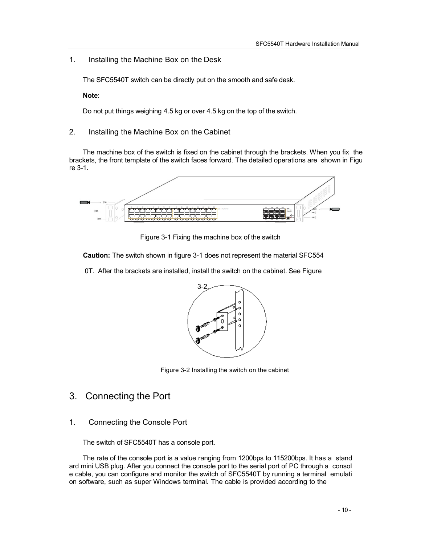## 1. Installing the Machine Box on the Desk

The SFC5540T switch can be directly put on the smooth and safe desk.

**Note**:

Do not put things weighing 4.5 kg or over 4.5 kg on the top of the switch.

2. Installing the Machine Box on the Cabinet

The machine box of the switch is fixed on the cabinet through the brackets. When you fix the brackets, the front template of the switch faces forward. The detailed operations are shown in Figu re 3-1.



Figure 3-1 Fixing the machine box of the switch

**Caution:** The switch shown in figure 3-1 does not represent the material SFC554

0T. After the brackets are installed, install the switch on the cabinet. See Figure



Figure 3-2 Installing the switch on the cabinet

- 3. Connecting the Port
- 1. Connecting the Console Port

The switch of SFC5540T has a console port.

The rate of the console port is a value ranging from 1200bps to 115200bps. It has a stand ard mini USB plug. After you connect the console port to the serial port of PC through a consol e cable, you can configure and monitor the switch of SFC5540T by running a terminal emulati on software, such as super Windows terminal. The cable is provided according to the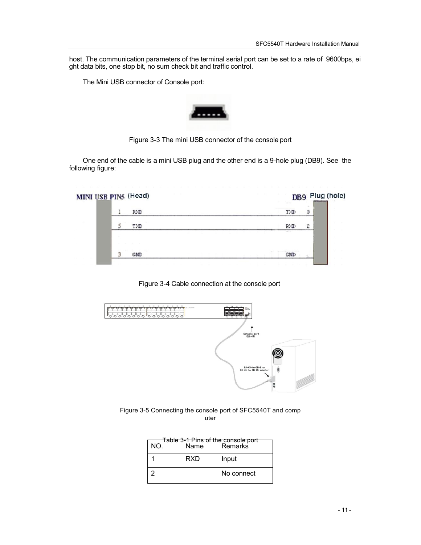host. The communication parameters of the terminal serial port can be set to a rate of 9600bps, ei ght data bits, one stop bit, no sum check bit and traffic control.

The Mini USB connector of Console port:



Figure 3-3 The mini USB connector of the console port

One end of the cable is a mini USB plug and the other end is a 9-hole plug (DB9). See the following figure:

| MINI USB PINS (Head) |  | DB9 Plug (hole)<br><b>SALE</b> |                                                                                                                            |                |
|----------------------|--|--------------------------------|----------------------------------------------------------------------------------------------------------------------------|----------------|
|                      |  | RXID                           |                                                                                                                            | З              |
|                      |  | TXD                            | <b>DMT</b><br>$\frac{1}{2} \left( \frac{1}{2} \right) \left( \frac{1}{2} \right) = \frac{1}{2} \left( \frac{1}{2} \right)$ | $\overline{c}$ |
|                      |  | - 3<br><b>GMD</b>              |                                                                                                                            |                |
|                      |  |                                |                                                                                                                            |                |





Figure 3-5 Connecting the console port of SFC5540T and comp uter

| NO. | Name       | <del>Table 3-1 Pins of the console port</del><br><b>Remarks</b> |
|-----|------------|-----------------------------------------------------------------|
|     | <b>RXD</b> | Input                                                           |
| 2   |            | No connect                                                      |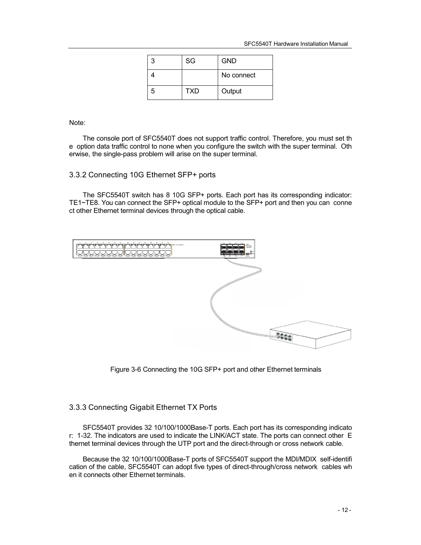| 3 | SG         | <b>GND</b> |
|---|------------|------------|
|   |            | No connect |
| 5 | <b>TXD</b> | Output     |

Note:

The console port of SFC5540T does not support traffic control. Therefore, you must set th e option data traffic control to none when you configure the switch with the super terminal. Oth erwise, the single-pass problem will arise on the super terminal.

### 3.3.2 Connecting 10G Ethernet SFP+ ports

The SFC5540T switch has 8 10G SFP+ ports. Each port has its corresponding indicator: TE1~TE8. You can connect the SFP+ optical module to the SFP+ port and then you can conne ct other Ethernet terminal devices through the optical cable.



Figure 3-6 Connecting the 10G SFP+ port and other Ethernet terminals

## 3.3.3 Connecting Gigabit Ethernet TX Ports

SFC5540T provides 32 10/100/1000Base-T ports. Each port has its corresponding indicato r: 1-32. The indicators are used to indicate the LINK/ACT state. The ports can connect other E thernet terminal devices through the UTP port and the direct-through or cross network cable.

Because the 32 10/100/1000Base-T ports of SFC5540T support the MDI/MDIX self-identifi cation of the cable, SFC5540T can adopt five types of direct-through/cross network cables wh en it connects other Ethernet terminals.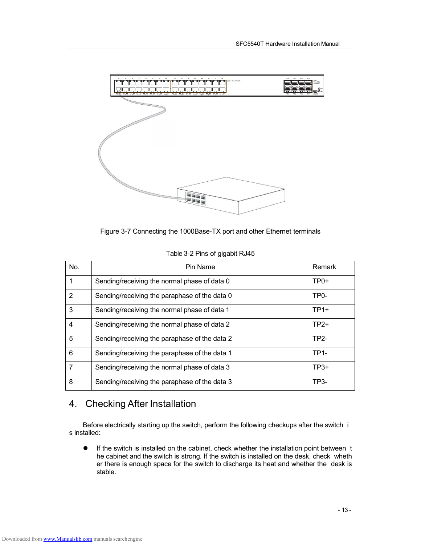

Figure 3-7 Connecting the 1000Base-TX port and other Ethernet terminals

| No. | Pin Name                                      | Remark            |
|-----|-----------------------------------------------|-------------------|
|     | Sending/receiving the normal phase of data 0  | $TP0+$            |
| 2   | Sending/receiving the paraphase of the data 0 | TP <sub>0</sub> - |
| 3   | Sending/receiving the normal phase of data 1  | $TP1+$            |
| 4   | Sending/receiving the normal phase of data 2  | $TP2+$            |
| 5   | Sending/receiving the paraphase of the data 2 | <b>TP2-</b>       |
| 6   | Sending/receiving the paraphase of the data 1 | $TP1-$            |
| 7   | Sending/receiving the normal phase of data 3  | $TP3+$            |
| 8   | Sending/receiving the paraphase of the data 3 | TP3-              |

Table 3-2 Pins of gigabit RJ45

# 4. Checking After Installation

Before electrically starting up the switch, perform the following checkups after the switch i s installed:

 If the switch is installed on the cabinet, check whether the installation point between t he cabinet and the switch is strong. If the switch is installed on the desk, check wheth er there is enough space for the switch to discharge its heat and whether the desk is stable.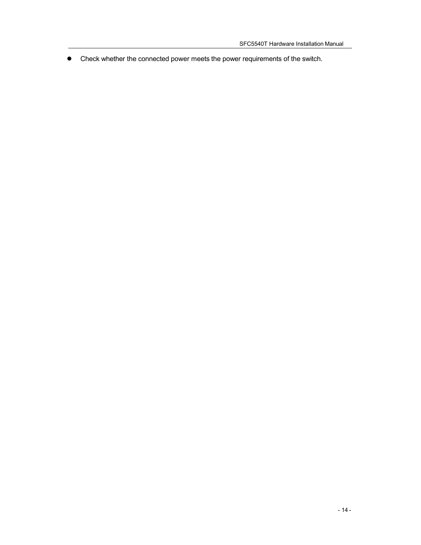Check whether the connected power meets the power requirements of the switch.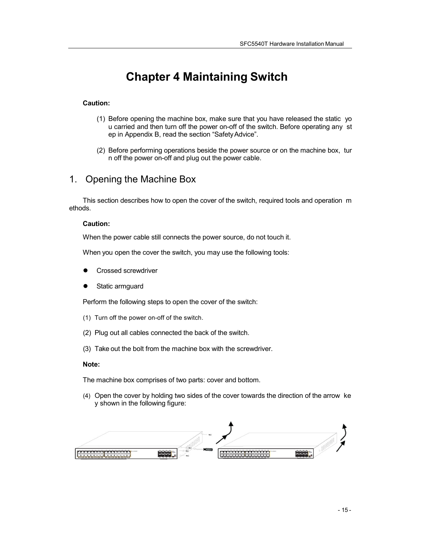# **Chapter 4 Maintaining Switch**

### **Caution:**

- (1) Before opening the machine box, make sure that you have released the static yo u carried and then turn off the power on-off of the switch. Before operating any st ep in Appendix B, read the section "SafetyAdvice".
- (2) Before performing operations beside the power source or on the machine box, tur n off the power on-off and plug out the power cable.

# 1. Opening the Machine Box

This section describes how to open the cover of the switch, required tools and operation m ethods.

#### **Caution:**

When the power cable still connects the power source, do not touch it.

When you open the cover the switch, you may use the following tools:

- Crossed screwdriver
- Static armguard

Perform the following steps to open the cover of the switch:

- (1) Turn off the power on-off of the switch.
- (2) Plug out all cables connected the back of the switch.
- (3) Take out the bolt from the machine box with the screwdriver.

#### **Note:**

The machine box comprises of two parts: cover and bottom.

(4) Open the cover by holding two sides of the cover towards the direction of the arrow ke y shown in the following figure:

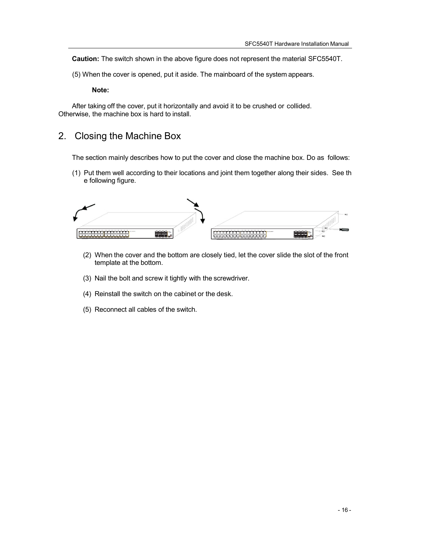**Caution:** The switch shown in the above figure does not represent the material SFC5540T.

(5) When the cover is opened, put it aside. The mainboard of the system appears.

**Note:**

After taking off the cover, put it horizontally and avoid it to be crushed or collided. Otherwise, the machine box is hard to install.

# 2. Closing the Machine Box

The section mainly describes how to put the cover and close the machine box. Do as follows:

(1) Put them well according to their locations and joint them together along their sides. See th e following figure.

|                                 | ---<br>ada: |                                                                                                                                                                               | 1888 |
|---------------------------------|-------------|-------------------------------------------------------------------------------------------------------------------------------------------------------------------------------|------|
| .<br>.<br><b>BUSINESS</b><br>—— |             | .<br>the time that<br>and the state of the state of the state of the state of the state of the state.<br>المستقصات<br><b>Designation of the Con-</b><br>the property of their |      |

- (2) When the cover and the bottom are closely tied, let the cover slide the slot of the front template at the bottom.
- (3) Nail the bolt and screw it tightly with the screwdriver.
- (4) Reinstall the switch on the cabinet or the desk.
- (5) Reconnect all cables of the switch.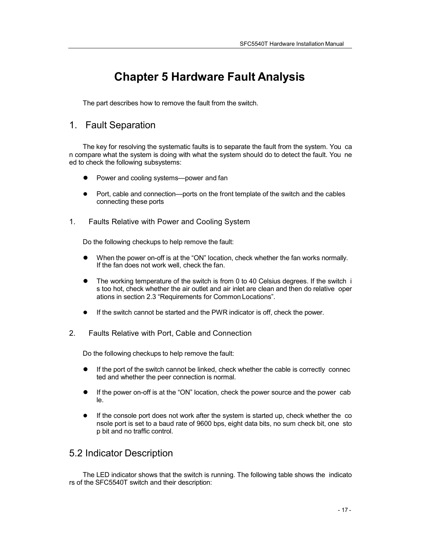# **Chapter 5 Hardware Fault Analysis**

The part describes how to remove the fault from the switch.

# 1. Fault Separation

The key for resolving the systematic faults is to separate the fault from the system. You ca n compare what the system is doing with what the system should do to detect the fault. You ne ed to check the following subsystems:

- Power and cooling systems—power and fan
- Port, cable and connection—ports on the front template of the switch and the cables connecting these ports
- 1. Faults Relative with Power and Cooling System

Do the following checkups to help remove the fault:

- When the power on-off is at the "ON" location, check whether the fan works normally. If the fan does not work well, check the fan.
- The working temperature of the switch is from 0 to 40 Celsius degrees. If the switch i s too hot, check whether the air outlet and air inlet are clean and then do relative oper ations in section 2.3 "Requirements for Common Locations".
- If the switch cannot be started and the PWR indicator is off, check the power.
- 2. Faults Relative with Port, Cable and Connection

Do the following checkups to help remove the fault:

- If the port of the switch cannot be linked, check whether the cable is correctly connec ted and whether the peer connection is normal.
- If the power on-off is at the "ON" location, check the power source and the power cab le.
- If the console port does not work after the system is started up, check whether the co nsole port is set to a baud rate of 9600 bps, eight data bits, no sum check bit, one sto p bit and no traffic control.

# 5.2 Indicator Description

The LED indicator shows that the switch is running. The following table shows the indicato rs of the SFC5540T switch and their description: